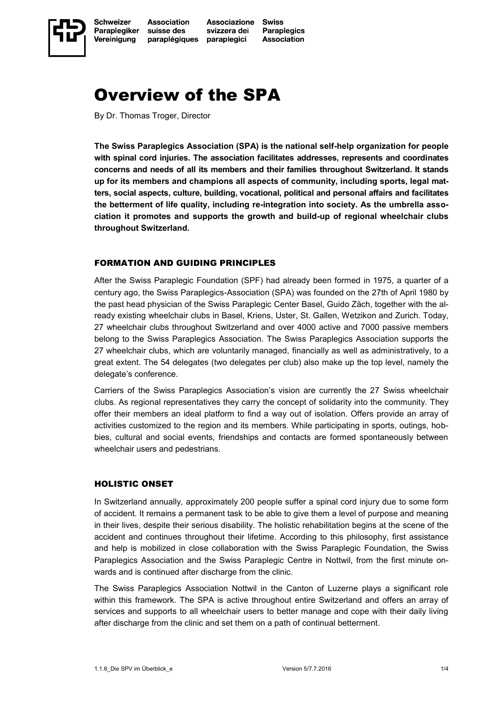

# Overview of the SPA

By Dr. Thomas Troger, Director

**The Swiss Paraplegics Association (SPA) is the national self-help organization for people with spinal cord injuries. The association facilitates addresses, represents and coordinates concerns and needs of all its members and their families throughout Switzerland. It stands up for its members and champions all aspects of community, including sports, legal matters, social aspects, culture, building, vocational, political and personal affairs and facilitates the betterment of life quality, including re-integration into society. As the umbrella association it promotes and supports the growth and build-up of regional wheelchair clubs throughout Switzerland.**

#### FORMATION AND GUIDING PRINCIPLES

After the Swiss Paraplegic Foundation (SPF) had already been formed in 1975, a quarter of a century ago, the Swiss Paraplegics-Association (SPA) was founded on the 27th of April 1980 by the past head physician of the Swiss Paraplegic Center Basel, Guido Zäch, together with the already existing wheelchair clubs in Basel, Kriens, Uster, St. Gallen, Wetzikon and Zurich. Today, 27 wheelchair clubs throughout Switzerland and over 4000 active and 7000 passive members belong to the Swiss Paraplegics Association. The Swiss Paraplegics Association supports the 27 wheelchair clubs, which are voluntarily managed, financially as well as administratively, to a great extent. The 54 delegates (two delegates per club) also make up the top level, namely the delegate's conference.

Carriers of the Swiss Paraplegics Association's vision are currently the 27 Swiss wheelchair clubs. As regional representatives they carry the concept of solidarity into the community. They offer their members an ideal platform to find a way out of isolation. Offers provide an array of activities customized to the region and its members. While participating in sports, outings, hobbies, cultural and social events, friendships and contacts are formed spontaneously between wheelchair users and pedestrians.

## HOLISTIC ONSET

In Switzerland annually, approximately 200 people suffer a spinal cord injury due to some form of accident. It remains a permanent task to be able to give them a level of purpose and meaning in their lives, despite their serious disability. The holistic rehabilitation begins at the scene of the accident and continues throughout their lifetime. According to this philosophy, first assistance and help is mobilized in close collaboration with the Swiss Paraplegic Foundation, the Swiss Paraplegics Association and the Swiss Paraplegic Centre in Nottwil, from the first minute onwards and is continued after discharge from the clinic.

The Swiss Paraplegics Association Nottwil in the Canton of Luzerne plays a significant role within this framework. The SPA is active throughout entire Switzerland and offers an array of services and supports to all wheelchair users to better manage and cope with their daily living after discharge from the clinic and set them on a path of continual betterment.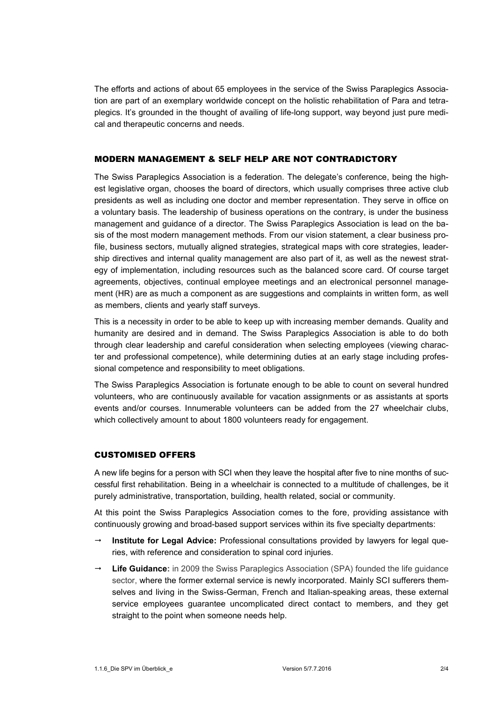The efforts and actions of about 65 employees in the service of the Swiss Paraplegics Association are part of an exemplary worldwide concept on the holistic rehabilitation of Para and tetraplegics. It's grounded in the thought of availing of life-long support, way beyond just pure medical and therapeutic concerns and needs.

#### MODERN MANAGEMENT & SELF HELP ARE NOT CONTRADICTORY

The Swiss Paraplegics Association is a federation. The delegate's conference, being the highest legislative organ, chooses the board of directors, which usually comprises three active club presidents as well as including one doctor and member representation. They serve in office on a voluntary basis. The leadership of business operations on the contrary, is under the business management and guidance of a director. The Swiss Paraplegics Association is lead on the basis of the most modern management methods. From our vision statement, a clear business profile, business sectors, mutually aligned strategies, strategical maps with core strategies, leadership directives and internal quality management are also part of it, as well as the newest strategy of implementation, including resources such as the balanced score card. Of course target agreements, objectives, continual employee meetings and an electronical personnel management (HR) are as much a component as are suggestions and complaints in written form, as well as members, clients and yearly staff surveys.

This is a necessity in order to be able to keep up with increasing member demands. Quality and humanity are desired and in demand. The Swiss Paraplegics Association is able to do both through clear leadership and careful consideration when selecting employees (viewing character and professional competence), while determining duties at an early stage including professional competence and responsibility to meet obligations.

The Swiss Paraplegics Association is fortunate enough to be able to count on several hundred volunteers, who are continuously available for vacation assignments or as assistants at sports events and/or courses. Innumerable volunteers can be added from the 27 wheelchair clubs, which collectively amount to about 1800 volunteers ready for engagement.

### CUSTOMISED OFFERS

A new life begins for a person with SCI when they leave the hospital after five to nine months of successful first rehabilitation. Being in a wheelchair is connected to a multitude of challenges, be it purely administrative, transportation, building, health related, social or community.

At this point the Swiss Paraplegics Association comes to the fore, providing assistance with continuously growing and broad-based support services within its five specialty departments:

- **Institute for Legal Advice:** Professional consultations provided by lawyers for legal queries, with reference and consideration to spinal cord injuries.
- **Life Guidance:** in 2009 the Swiss Paraplegics Association (SPA) founded the life guidance sector, where the former external service is newly incorporated. Mainly SCI sufferers themselves and living in the Swiss-German, French and Italian-speaking areas, these external service employees guarantee uncomplicated direct contact to members, and they get straight to the point when someone needs help.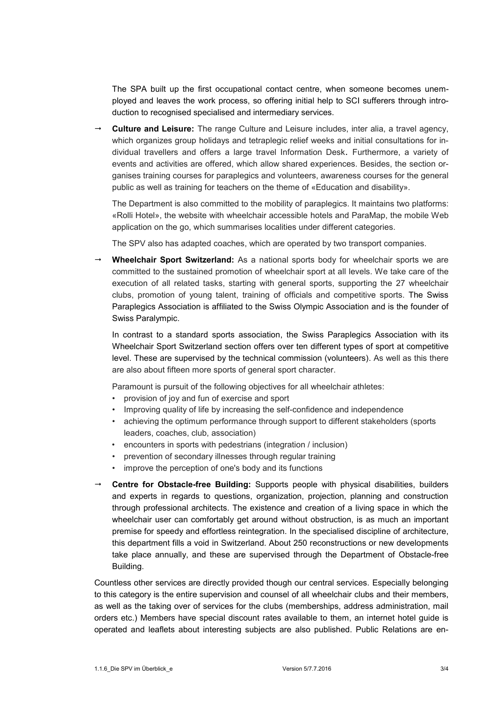The SPA built up the first occupational contact centre, when someone becomes unemployed and leaves the work process, so offering initial help to SCI sufferers through introduction to recognised specialised and intermediary services.

 **Culture and Leisure:** The range Culture and Leisure includes, inter alia, a travel agency, which organizes group holidays and tetraplegic relief weeks and initial consultations for individual travellers and offers a large travel Information Desk. Furthermore, a variety of events and activities are offered, which allow shared experiences. Besides, the section organises training courses for paraplegics and volunteers, awareness courses for the general public as well as training for teachers on the theme of «Education and disability».

The Department is also committed to the mobility of paraplegics. It maintains two platforms: «Rolli Hotel», the website with wheelchair accessible hotels and ParaMap, the mobile Web application on the go, which summarises localities under different categories.

The SPV also has adapted coaches, which are operated by two transport companies.

 **Wheelchair Sport Switzerland:** As a national sports body for wheelchair sports we are committed to the sustained promotion of wheelchair sport at all levels. We take care of the execution of all related tasks, starting with general sports, supporting the 27 wheelchair clubs, promotion of young talent, training of officials and competitive sports. The Swiss Paraplegics Association is affiliated to the Swiss Olympic Association and is the founder of Swiss Paralympic.

In contrast to a standard sports association, the Swiss Paraplegics Association with its Wheelchair Sport Switzerland section offers over ten different types of sport at competitive level. These are supervised by the technical commission (volunteers). As well as this there are also about fifteen more sports of general sport character.

Paramount is pursuit of the following objectives for all wheelchair athletes:

- provision of joy and fun of exercise and sport
- Improving quality of life by increasing the self-confidence and independence
- achieving the optimum performance through support to different stakeholders (sports leaders, coaches, club, association)
- encounters in sports with pedestrians (integration / inclusion)
- prevention of secondary illnesses through regular training
- improve the perception of one's body and its functions
- **Centre for Obstacle-free Building:** Supports people with physical disabilities, builders and experts in regards to questions, organization, projection, planning and construction through professional architects. The existence and creation of a living space in which the wheelchair user can comfortably get around without obstruction, is as much an important premise for speedy and effortless reintegration. In the specialised discipline of architecture, this department fills a void in Switzerland. About 250 reconstructions or new developments take place annually, and these are supervised through the Department of Obstacle-free Building.

Countless other services are directly provided though our central services. Especially belonging to this category is the entire supervision and counsel of all wheelchair clubs and their members, as well as the taking over of services for the clubs (memberships, address administration, mail orders etc.) Members have special discount rates available to them, an internet hotel guide is operated and leaflets about interesting subjects are also published. Public Relations are en